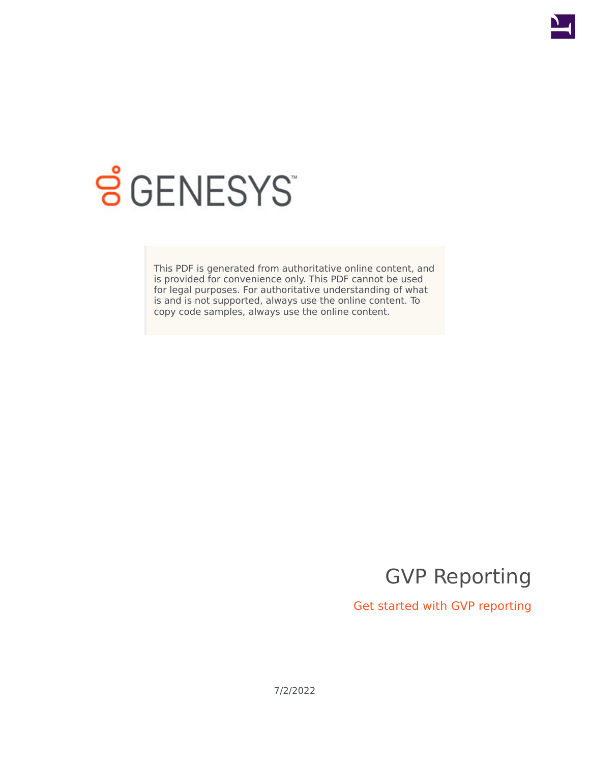

# **SGENESYS**

This PDF is generated from authoritative online content, and is provided for convenience only. This PDF cannot be used for legal purposes. For authoritative understanding of what is and is not supported, always use the online content. To copy code samples, always use the online content.

GVP Reporting

Get started with GVP reporting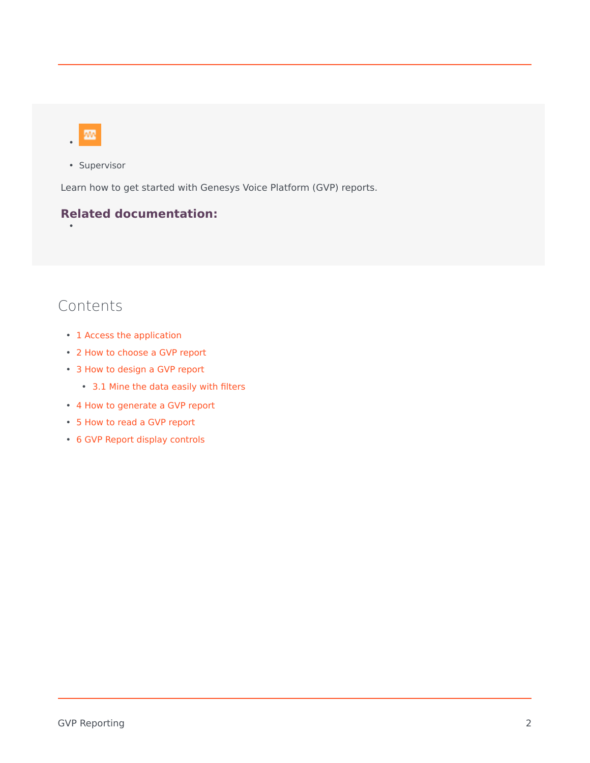•

• Supervisor

Learn how to get started with Genesys Voice Platform (GVP) reports.

#### **Related documentation:**

## Contents

- 1 [Access the application](#page-3-0)
- 2 [How to choose a GVP report](#page-4-0)
- 3 [How to design a GVP report](#page-5-0)
	- 3.1 [Mine the data easily with filters](#page-5-1)
- 4 [How to generate a GVP report](#page-6-0)
- 5 [How to read a GVP report](#page-7-0)
- 6 [GVP Report display controls](#page-7-1)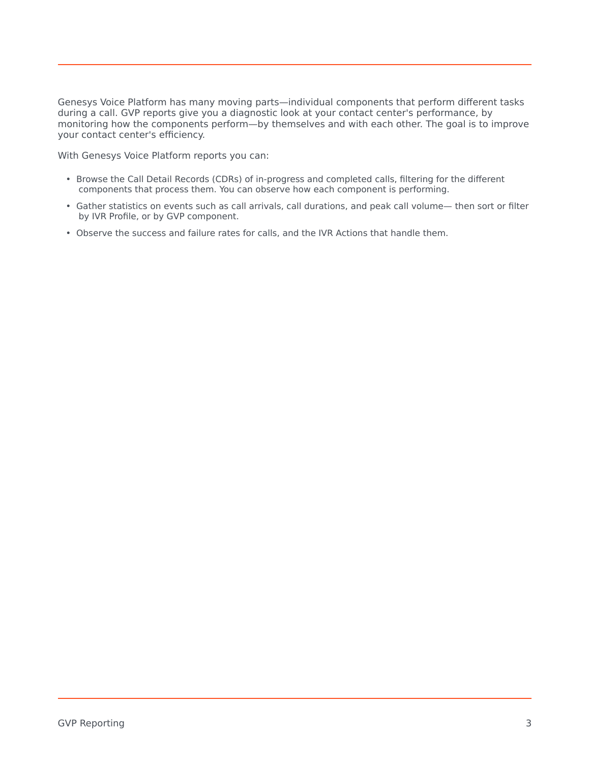Genesys Voice Platform has many moving parts—individual components that perform different tasks during a call. GVP reports give you a diagnostic look at your contact center's performance, by monitoring how the components perform—by themselves and with each other. The goal is to improve your contact center's efficiency.

With Genesys Voice Platform reports you can:

- Browse the Call Detail Records (CDRs) of in-progress and completed calls, filtering for the different components that process them. You can observe how each component is performing.
- Gather statistics on events such as call arrivals, call durations, and peak call volume— then sort or filter by IVR Profile, or by GVP component.
- Observe the success and failure rates for calls, and the IVR Actions that handle them.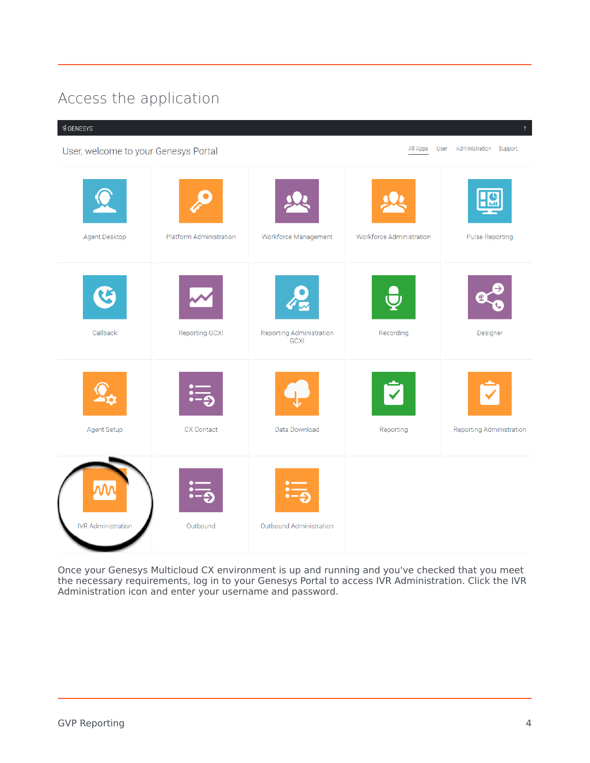# <span id="page-3-0"></span>Access the application

#### $$GENESYS$

All Apps User Administration Support User, welcome to your Genesys Portal Agent Desktop Platform Administration Workforce Management Workforce Administration **Pulse Reporting** Callback Reporting GCXI Reporting Administration Recording Designer **GCXI** Agent Setup CX Contact Data Download Reporting Reporting Administration **IVR Administration** Outbound Outbound Administration

Once your Genesys Multicloud CX environment is up and running and you've checked that you meet the necessary requirements, log in to your Genesys Portal to access IVR Administration. Click the IVR Administration icon and enter your username and password.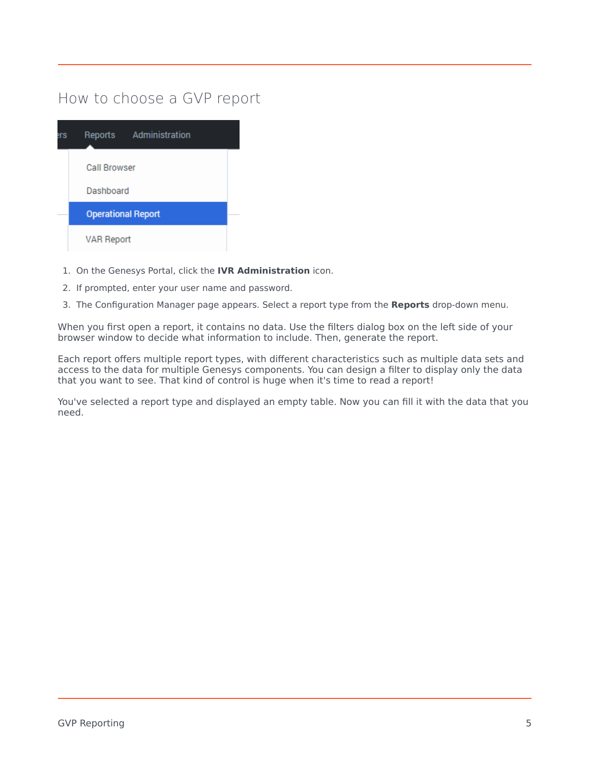## <span id="page-4-0"></span>How to choose a GVP report

| Administration<br>Reports |  |
|---------------------------|--|
| <b>Call Browser</b>       |  |
| Dashboard                 |  |
| <b>Operational Report</b> |  |
| <b>VAR Report</b>         |  |

- 1. On the Genesys Portal, click the **IVR Administration** icon.
- 2. If prompted, enter your user name and password.
- 3. The Configuration Manager page appears. Select a report type from the **Reports** drop-down menu.

When you first open a report, it contains no data. Use the filters dialog box on the left side of your browser window to decide what information to include. Then, generate the report.

Each report offers multiple report types, with different characteristics such as multiple data sets and access to the data for multiple Genesys components. You can design a filter to display only the data that you want to see. That kind of control is huge when it's time to read a report!

You've selected a report type and displayed an empty table. Now you can fill it with the data that you need.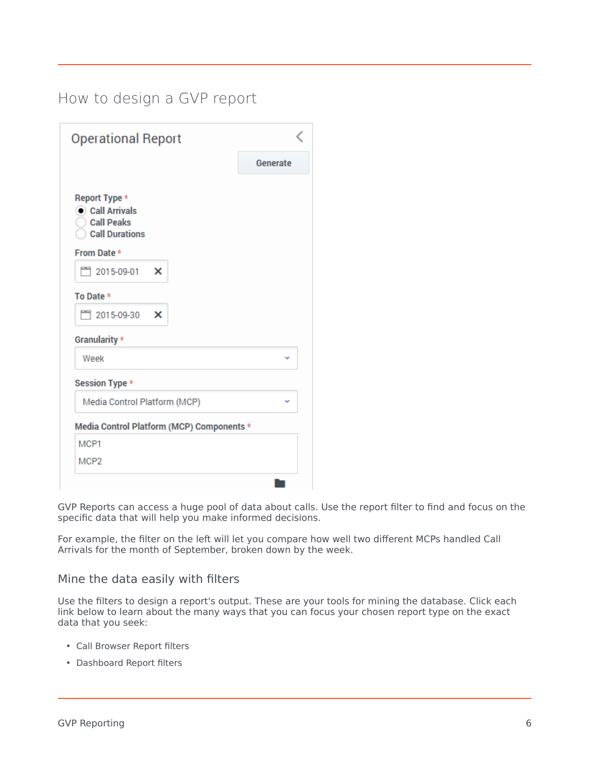## <span id="page-5-0"></span>How to design a GVP report

| <b>Operational Report</b>                                                              |          |
|----------------------------------------------------------------------------------------|----------|
|                                                                                        | Generate |
| Report Type *<br>$\bullet$ Call Arrivals<br><b>Call Peaks</b><br><b>Call Durations</b> |          |
| From Date *                                                                            |          |
| □ 2015-09-01<br>×                                                                      |          |
| To Date *                                                                              |          |
| ■ 2015-09-30<br>×                                                                      |          |
| Granularity *                                                                          |          |
| Week                                                                                   |          |
| Session Type *                                                                         |          |
| Media Control Platform (MCP)                                                           |          |
| Media Control Platform (MCP) Components *                                              |          |
| MCP1                                                                                   |          |
| MCP <sub>2</sub>                                                                       |          |

GVP Reports can access a huge pool of data about calls. Use the report filter to find and focus on the specific data that will help you make informed decisions.

For example, the filter on the left will let you compare how well two different MCPs handled Call Arrivals for the month of September, broken down by the week.

#### <span id="page-5-1"></span>Mine the data easily with filters

Use the filters to design a report's output. These are your tools for mining the database. Click each link below to learn about the many ways that you can focus your chosen report type on the exact data that you seek:

- Call Browser Report filters
- Dashboard Report filters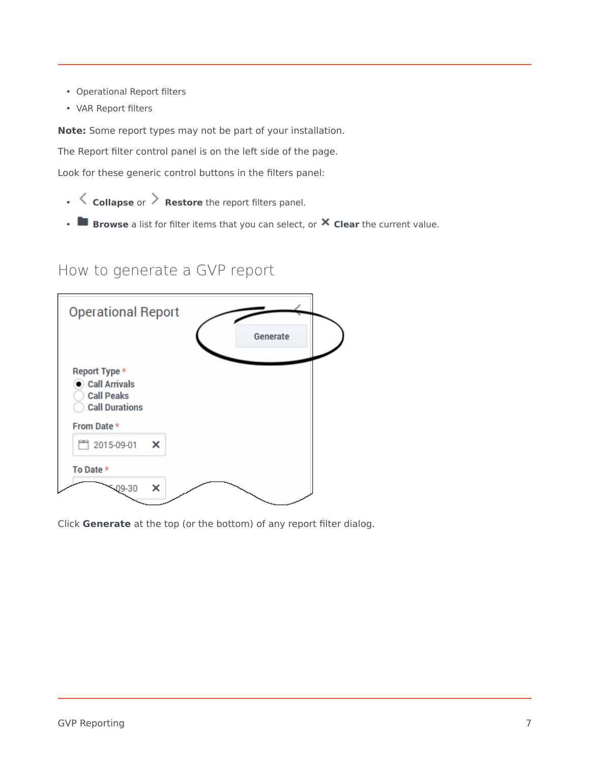- Operational Report filters
- VAR Report filters

**Note:** Some report types may not be part of your installation.

The Report filter control panel is on the left side of the page.

Look for these generic control buttons in the filters panel:

- **Collapse** or **Restore** the report filters panel.
- **Browse** a list for filter items that you can select, or **Clear** the current value.

#### How to generate a GVP report

<span id="page-6-0"></span>

Click **Generate** at the top (or the bottom) of any report filter dialog.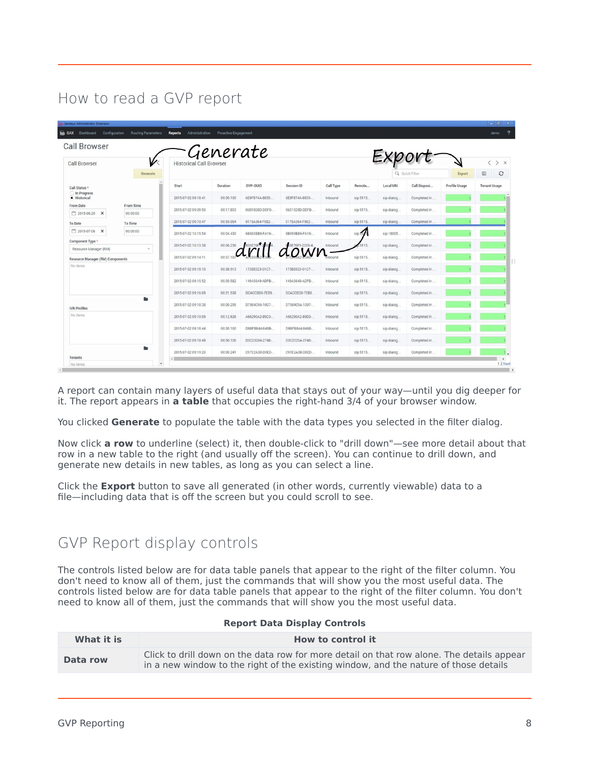## <span id="page-7-0"></span>How to read a GVP report

| <b>Call Browser</b>                                       |                              |                               | Generate  |                 |                |           |           |             |                |                      |                                      |
|-----------------------------------------------------------|------------------------------|-------------------------------|-----------|-----------------|----------------|-----------|-----------|-------------|----------------|----------------------|--------------------------------------|
| <b>Call Browser</b>                                       | V<br>Generate                | <b>Historical Call Browse</b> |           |                 |                |           |           |             | Q Quick Filter | Export               | > x<br>€<br>$\circ$<br>$\rm I\!I\!I$ |
| Call Status *                                             |                              | Start                         | Duration  | <b>GVP-GUID</b> | Session ID     | Call Type | Remote    | Local URI   | Call Disposi   | <b>Profile Usage</b> | <b>Tenant Usage</b>                  |
| In Progress<br>· Historical                               |                              | 2015-07-02 09:18:41           | 00:00.100 | 6E9F874A-8835-  | 6E9F874A-8835- | Inbound   | sip:5115. | sip:dialog  | Completed in . |                      |                                      |
| From Date<br>□ 2015-06-29 X                               | <b>From Time</b><br>00:00:00 | 2015-07-02 09:09:50           | 00:17.803 | 06D1828D-DDFB-  | 06D1828D-DDFB- | Inbound   | sip:5115. | sip:dialog  | Completed in . |                      |                                      |
| <b>To Date</b>                                            | To Time                      | 2015-07-02 09:10:47           | 00:59.094 | 0175A364-F982-  | 0175A364-F982- | Inbound   | sip:5115. | sip:dialog  | Completed in   |                      |                                      |
| □ 2015-07-06 X                                            | 00:00:00                     | 2015-07-02 10:15:54           | 00:04.430 | 6B693BB6-FA16-  | 6B693BB6-FA16- | Inbound   | sip:51    | sip:18005.  | Completed in   |                      |                                      |
| Component Type *                                          | $\mathbf{v}$                 | 2015-07-02 10:13:38           | 00:06.236 |                 |                | Inbound   | 5115.     | sip:dialog  | Completed in . |                      |                                      |
| Resource Manager (RM)<br>Resource Manager (RM) Components |                              | 2015-07-02 09:14:11           | 00:57     | dritt           | down           |           | sip:5115. | sip:dialog  | Completed in   |                      |                                      |
| No items                                                  |                              | 2015-07-02 09:15:10           | 00:38.913 | 173BE023-01C7-  | 173BE023-01C7- | Inbound   | sip:5115. | sip:dialog  | Completed in.  |                      |                                      |
|                                                           |                              | 2015-07-02 09:15:52           | 00:00.582 | 149A5649-ADFB-  | 149A5649-ADFB- | Inbound   | sip:5115  | sip:dialog  | Completed in . |                      |                                      |
|                                                           |                              | 2015-07-02 09:16:09           | 00:21.538 | DCACCBD0-7EB9.  | DCACCBD0-7EB9. | Inbound   | sip:5115  | sip:dialog  | Completed in . |                      |                                      |
| <b>IVR</b> Profiles                                       | ٠                            | 2015-07-02 09:18:38           | 00:00.295 | D7984C9A-1007-  | D7984C9A-1007- | Inbound   | sip:5115. | sip:dialog  | Completed in . |                      |                                      |
| No items                                                  |                              | 2015-07-02 09:10:09           | 00:12.626 | A66290A2-89D3-  | A66290A2-89D3- | Inbound   | sip:5115. | sip:dialog  | Completed in . |                      |                                      |
|                                                           |                              | 2015-07-02 09:18:44           | 00:00.160 | D9BFB844-846B-  | D9BFB844-846B- | Inbound   | sip:5115  | sip:dialog. | Completed in . |                      |                                      |
|                                                           |                              | 2015-07-02 09:18:49           | 00:00.106 | D3C2320A-2748-  | D3C2320A-2748- | Inbound   | sip:5115. | sip:dialog  | Completed in.  |                      |                                      |
|                                                           | ٠                            | 2015-07-02 09:19:20           | 00:00.241 | C97E2A3B-D0ED-  | C97E2A3B-D0ED- | Inbound   | sip:5115. | sip:dialog  | Completed in   |                      |                                      |

A report can contain many layers of useful data that stays out of your way—until you dig deeper for it. The report appears in **a table** that occupies the right-hand 3/4 of your browser window.

You clicked **Generate** to populate the table with the data types you selected in the filter dialog.

Now click **a row** to underline (select) it, then double-click to "drill down"—see more detail about that row in a new table to the right (and usually off the screen). You can continue to drill down, and generate new details in new tables, as long as you can select a line.

Click the **Export** button to save all generated (in other words, currently viewable) data to a file—including data that is off the screen but you could scroll to see.

### <span id="page-7-1"></span>GVP Report display controls

The controls listed below are for data table panels that appear to the right of the filter column. You don't need to know all of them, just the commands that will show you the most useful data. The controls listed below are for data table panels that appear to the right of the filter column. You don't need to know all of them, just the commands that will show you the most useful data.

| What it is | How to control it                                                                                                                                                                 |
|------------|-----------------------------------------------------------------------------------------------------------------------------------------------------------------------------------|
| Data row   | Click to drill down on the data row for more detail on that row alone. The details appear<br>in a new window to the right of the existing window, and the nature of those details |

#### **Report Data Display Controls**